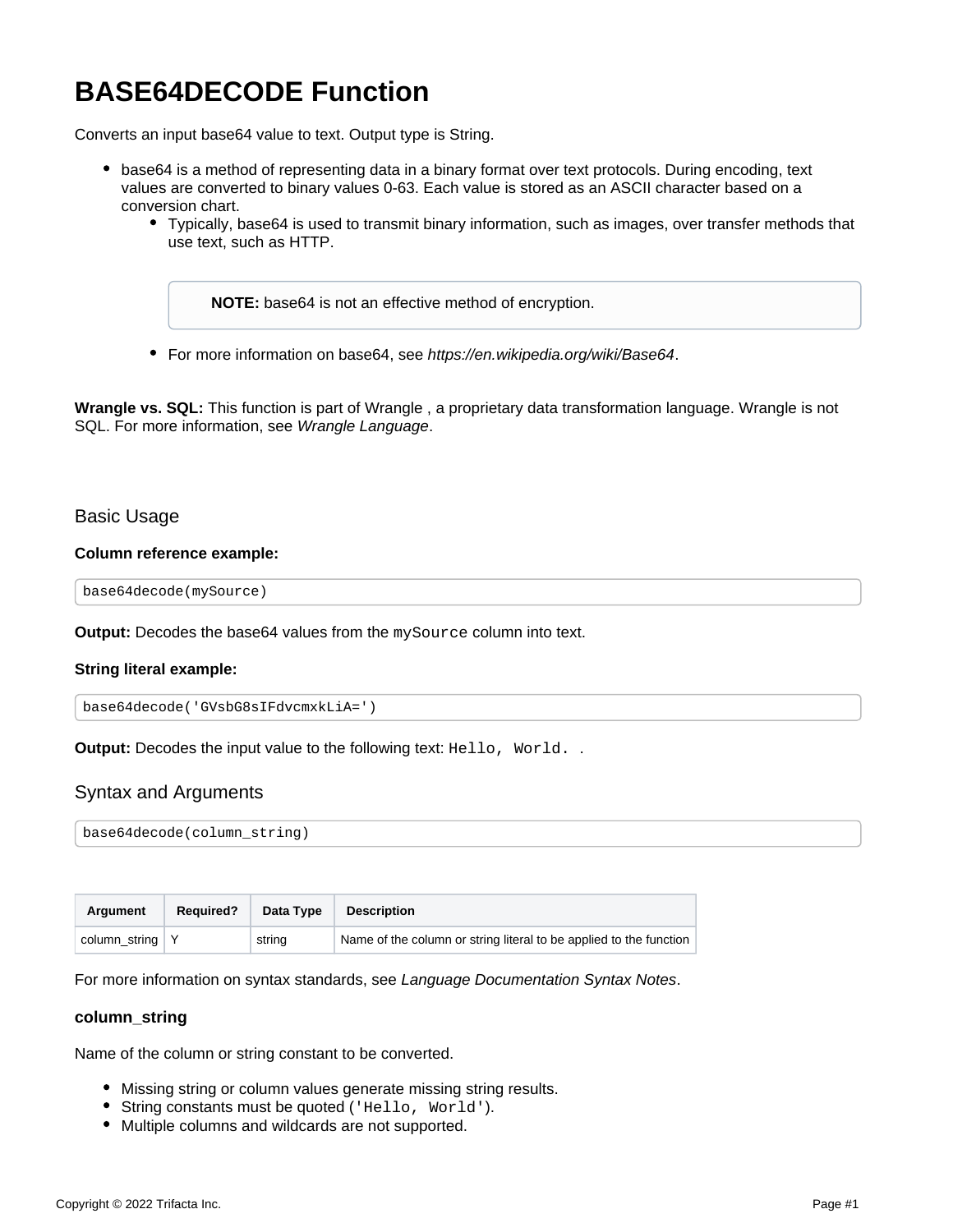# **BASE64DECODE Function**

Converts an input base64 value to text. Output type is String.

- base64 is a method of representing data in a binary format over text protocols. During encoding, text values are converted to binary values 0-63. Each value is stored as an ASCII character based on a conversion chart.
	- Typically, base64 is used to transmit binary information, such as images, over transfer methods that use text, such as HTTP.

**NOTE:** base64 is not an effective method of encryption.

• For more information on base64, see <https://en.wikipedia.org/wiki/Base64>.

**Wrangle vs. SQL:** This function is part of Wrangle , a proprietary data transformation language. Wrangle is not SQL. For more information, see [Wrangle Language](https://docs.trifacta.com/display/AWS/Wrangle+Language).

## Basic Usage

#### **Column reference example:**

base64decode(mySource)

**Output:** Decodes the base64 values from the mySource column into text.

#### **String literal example:**

```
base64decode('GVsbG8sIFdvcmxkLiA=')
```
**Output:** Decodes the input value to the following text: Hello, World. .

## Syntax and Arguments

base64decode(column\_string)

| Argument          | <b>Required?</b> | Data Type | <b>Description</b>                                                 |
|-------------------|------------------|-----------|--------------------------------------------------------------------|
| column_string   Y |                  | string    | Name of the column or string literal to be applied to the function |

For more information on syntax standards, see [Language Documentation Syntax Notes](https://docs.trifacta.com/display/AWS/Language+Documentation+Syntax+Notes).

#### **column\_string**

Name of the column or string constant to be converted.

- Missing string or column values generate missing string results.
- String constants must be quoted ('Hello, World').
- Multiple columns and wildcards are not supported.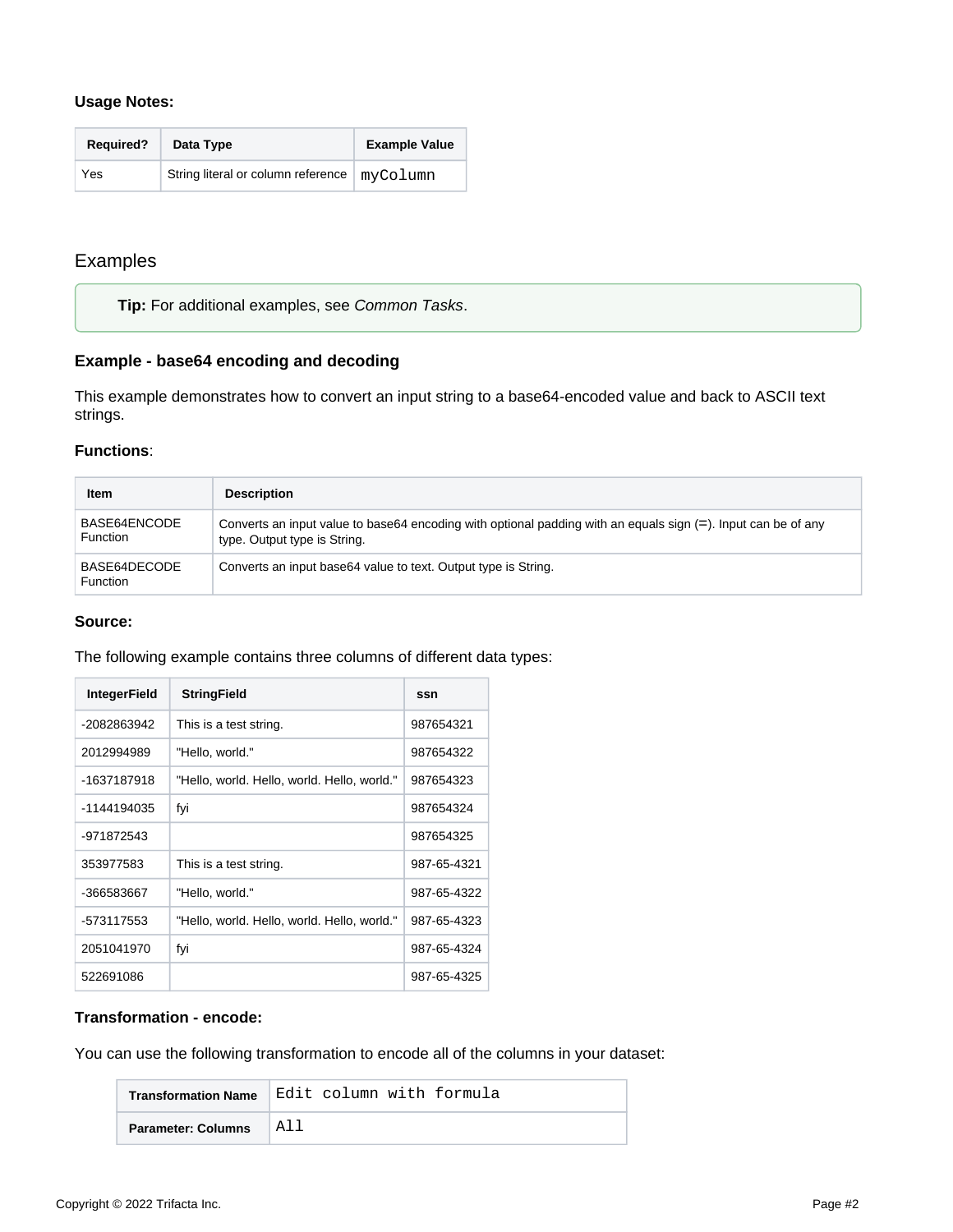#### **Usage Notes:**

| <b>Required?</b> | Data Type                          | <b>Example Value</b> |
|------------------|------------------------------------|----------------------|
| Yes              | String literal or column reference | myColumn             |

## Examples

**Tip:** For additional examples, see [Common Tasks](https://docs.trifacta.com/display/AWS/Common+Tasks).

## **Example - base64 encoding and decoding**

This example demonstrates how to convert an input string to a base64-encoded value and back to ASCII text strings.

## **Functions**:

| Item                            | <b>Description</b>                                                                                                                                |
|---------------------------------|---------------------------------------------------------------------------------------------------------------------------------------------------|
| BASE64ENCODE<br><b>Function</b> | Converts an input value to base 64 encoding with optional padding with an equals sign $(=)$ . Input can be of any<br>type. Output type is String. |
| BASE64DECODE<br><b>Function</b> | Converts an input base 64 value to text. Output type is String.                                                                                   |

#### **Source:**

The following example contains three columns of different data types:

| <b>IntegerField</b> | <b>StringField</b>                          | ssn         |
|---------------------|---------------------------------------------|-------------|
| -2082863942         | This is a test string.                      | 987654321   |
| 2012994989          | "Hello, world."                             | 987654322   |
| -1637187918         | "Hello, world. Hello, world. Hello, world." | 987654323   |
| -1144194035         | fyi                                         | 987654324   |
| -971872543          |                                             | 987654325   |
| 353977583           | This is a test string.                      | 987-65-4321 |
| -366583667          | "Hello, world."                             | 987-65-4322 |
| -573117553          | "Hello, world. Hello, world. Hello, world." | 987-65-4323 |
| 2051041970          | fyi                                         | 987-65-4324 |
| 522691086           |                                             | 987-65-4325 |

#### **Transformation - encode:**

You can use the following transformation to encode all of the columns in your dataset:

| <b>Transformation Name</b> | Edit column with formula |
|----------------------------|--------------------------|
| <b>Parameter: Columns</b>  | A11                      |